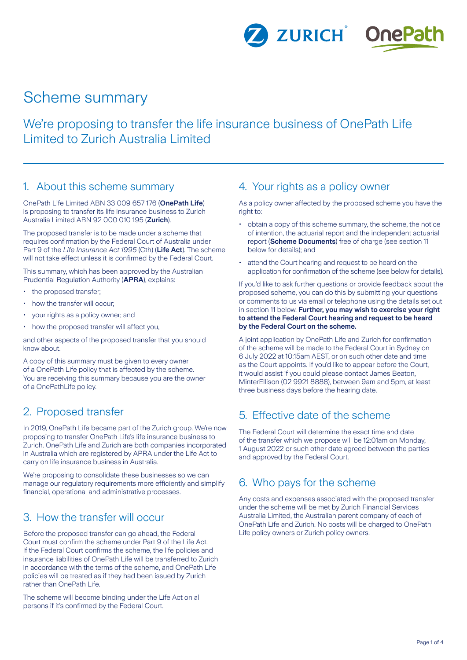ZURICH<sup>®</sup> OnePath

# Scheme summary

We're proposing to transfer the life insurance business of OnePath Life Limited to Zurich Australia Limited

#### 1. About this scheme summary

OnePath Life Limited ABN 33 009 657 176 (**OnePath Life**) is proposing to transfer its life insurance business to Zurich Australia Limited ABN 92 000 010 195 (**Zurich**).

The proposed transfer is to be made under a scheme that requires confirmation by the Federal Court of Australia under Part 9 of the *Life Insurance Act 1995* (Cth) (**Life Act**). The scheme will not take effect unless it is confirmed by the Federal Court.

This summary, which has been approved by the Australian Prudential Regulation Authority (**APRA**), explains:

- the proposed transfer:
- how the transfer will occur;
- your rights as a policy owner; and
- how the proposed transfer will affect you,

and other aspects of the proposed transfer that you should know about.

A copy of this summary must be given to every owner of a OnePath Life policy that is affected by the scheme. You are receiving this summary because you are the owner of a OnePathLife policy.

### 2. Proposed transfer

In 2019, OnePath Life became part of the Zurich group. We're now proposing to transfer OnePath Life's life insurance business to Zurich. OnePath Life and Zurich are both companies incorporated in Australia which are registered by APRA under the Life Act to carry on life insurance business in Australia.

We're proposing to consolidate these businesses so we can manage our regulatory requirements more efficiently and simplify financial, operational and administrative processes.

### 3. How the transfer will occur

Before the proposed transfer can go ahead, the Federal Court must confirm the scheme under Part 9 of the Life Act. If the Federal Court confirms the scheme, the life policies and insurance liabilities of OnePath Life will be transferred to Zurich in accordance with the terms of the scheme, and OnePath Life policies will be treated as if they had been issued by Zurich rather than OnePath Life.

The scheme will become binding under the Life Act on all persons if it's confirmed by the Federal Court.

### 4. Your rights as a policy owner

As a policy owner affected by the proposed scheme you have the right to:

- obtain a copy of this scheme summary, the scheme, the notice of intention, the actuarial report and the independent actuarial report (**Scheme Documents**) free of charge (see section 11 below for details); and
- attend the Court hearing and request to be heard on the application for confirmation of the scheme (see below for details).

If you'd like to ask further questions or provide feedback about the proposed scheme, you can do this by submitting your questions or comments to us via email or telephone using the details set out in section 11 below. **Further, you may wish to exercise your right to attend the Federal Court hearing and request to be heard by the Federal Court on the scheme.**

A joint application by OnePath Life and Zurich for confirmation of the scheme will be made to the Federal Court in Sydney on 6 July 2022 at 10:15am AEST, or on such other date and time as the Court appoints. If you'd like to appear before the Court, it would assist if you could please contact James Beaton, MinterEllison (02 9921 8888), between 9am and 5pm, at least three business days before the hearing date.

### 5. Effective date of the scheme

The Federal Court will determine the exact time and date of the transfer which we propose will be 12:01am on Monday, 1 August 2022 or such other date agreed between the parties and approved by the Federal Court.

### 6. Who pays for the scheme

Any costs and expenses associated with the proposed transfer under the scheme will be met by Zurich Financial Services Australia Limited, the Australian parent company of each of OnePath Life and Zurich. No costs will be charged to OnePath Life policy owners or Zurich policy owners.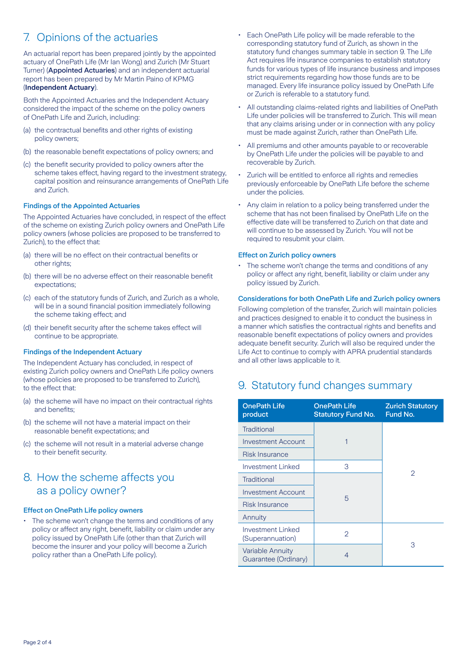## 7. Opinions of the actuaries

An actuarial report has been prepared jointly by the appointed actuary of OnePath Life (Mr Ian Wong) and Zurich (Mr Stuart Turner) (Appointed Actuaries) and an independent actuarial report has been prepared by Mr Martin Paino of KPMG (**Independent Actuary**).

Both the Appointed Actuaries and the Independent Actuary considered the impact of the scheme on the policy owners of OnePath Life and Zurich, including:

- (a) the contractual benefits and other rights of existing policy owners;
- (b) the reasonable benefit expectations of policy owners; and
- (c) the benefit security provided to policy owners after the scheme takes effect, having regard to the investment strategy, capital position and reinsurance arrangements of OnePath Life and Zurich.

#### Findings of the Appointed Actuaries

The Appointed Actuaries have concluded, in respect of the effect of the scheme on existing Zurich policy owners and OnePath Life policy owners (whose policies are proposed to be transferred to Zurich), to the effect that:

- (a) there will be no effect on their contractual benefits or other rights:
- (b) there will be no adverse effect on their reasonable benefit expectations;
- (c) each of the statutory funds of Zurich, and Zurich as a whole, will be in a sound financial position immediately following the scheme taking effect; and
- (d) their benefit security after the scheme takes effect will continue to be appropriate.

#### Findings of the Independent Actuary

The Independent Actuary has concluded, in respect of existing Zurich policy owners and OnePath Life policy owners (whose policies are proposed to be transferred to Zurich), to the effect that:

- (a) the scheme will have no impact on their contractual rights and benefits;
- (b) the scheme will not have a material impact on their reasonable benefit expectations; and
- (c) the scheme will not result in a material adverse change to their benefit security.

### 8. How the scheme affects you as a policy owner?

#### Effect on OnePath Life policy owners

• The scheme won't change the terms and conditions of any policy or affect any right, benefit, liability or claim under any policy issued by OnePath Life (other than that Zurich will become the insurer and your policy will become a Zurich policy rather than a OnePath Life policy).

- Each OnePath Life policy will be made referable to the corresponding statutory fund of Zurich, as shown in the statutory fund changes summary table in section 9. The Life Act requires life insurance companies to establish statutory funds for various types of life insurance business and imposes strict requirements regarding how those funds are to be managed. Every life insurance policy issued by OnePath Life or Zurich is referable to a statutory fund.
- All outstanding claims-related rights and liabilities of OnePath Life under policies will be transferred to Zurich. This will mean that any claims arising under or in connection with any policy must be made against Zurich, rather than OnePath Life.
- All premiums and other amounts payable to or recoverable by OnePath Life under the policies will be payable to and recoverable by Zurich.
- Zurich will be entitled to enforce all rights and remedies previously enforceable by OnePath Life before the scheme under the policies.
- Any claim in relation to a policy being transferred under the scheme that has not been finalised by OnePath Life on the effective date will be transferred to Zurich on that date and will continue to be assessed by Zurich. You will not be required to resubmit your claim.

#### Effect on Zurich policy owners

• The scheme won't change the terms and conditions of any policy or affect any right, benefit, liability or claim under any policy issued by Zurich.

#### Considerations for both OnePath Life and Zurich policy owners

Following completion of the transfer, Zurich will maintain policies and practices designed to enable it to conduct the business in a manner which satisfies the contractual rights and benefits and reasonable benefit expectations of policy owners and provides adequate benefit security. Zurich will also be required under the Life Act to continue to comply with APRA prudential standards and all other laws applicable to it.

### 9. Statutory fund changes summary

| <b>OnePath Life</b><br>product                  | <b>OnePath Life</b><br><b>Statutory Fund No.</b> | <b>Zurich Statutory</b><br>Fund No. |
|-------------------------------------------------|--------------------------------------------------|-------------------------------------|
| <b>Traditional</b>                              |                                                  |                                     |
| Investment Account                              | 1                                                |                                     |
| <b>Risk Insurance</b>                           |                                                  |                                     |
| Investment Linked                               | 3                                                | 2                                   |
| <b>Traditional</b>                              | 5                                                |                                     |
| <b>Investment Account</b>                       |                                                  |                                     |
| Risk Insurance                                  |                                                  |                                     |
| Annuity                                         |                                                  |                                     |
| Investment Linked<br>(Superannuation)           | $\overline{2}$                                   |                                     |
| <b>Variable Annuity</b><br>Guarantee (Ordinary) | 4                                                | З                                   |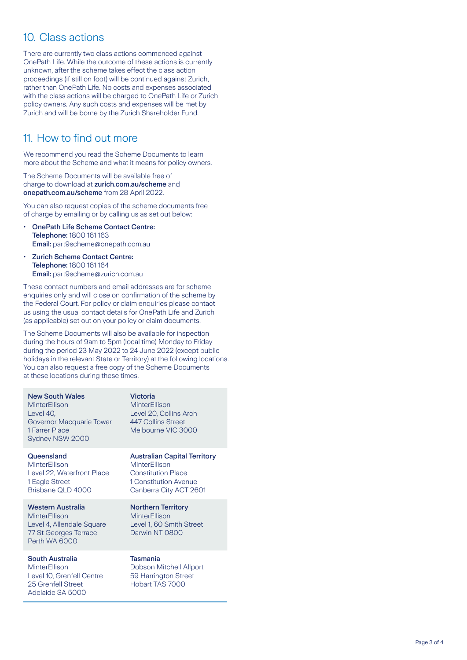### 10. Class actions

There are currently two class actions commenced against OnePath Life. While the outcome of these actions is currently unknown, after the scheme takes effect the class action proceedings (if still on foot) will be continued against Zurich, rather than OnePath Life. No costs and expenses associated with the class actions will be charged to OnePath Life or Zurich policy owners. Any such costs and expenses will be met by Zurich and will be borne by the Zurich Shareholder Fund.

### 11. How to find out more

We recommend you read the Scheme Documents to learn more about the Scheme and what it means for policy owners.

The Scheme Documents will be available free of charge to download at [zurich.com.au/scheme](http://zurich.com.au/scheme) and [onepath.com.au/scheme](http://onepath.com.au/scheme) from 28 April 2022.

You can also request copies of the scheme documents free of charge by emailing or by calling us as set out below:

- OnePath Life Scheme Contact Centre: Telephone: 1800 161 163 Email: part9scheme@onepath.com.au
- Zurich Scheme Contact Centre: Telephone: 1800 161 164 Email: part9scheme@zurich.com.au

These contact numbers and email addresses are for scheme enquiries only and will close on confirmation of the scheme by the Federal Court. For policy or claim enquiries please contact us using the usual contact details for OnePath Life and Zurich (as applicable) set out on your policy or claim documents.

The Scheme Documents will also be available for inspection during the hours of 9am to 5pm (local time) Monday to Friday during the period 23 May 2022 to 24 June 2022 (except public holidays in the relevant State or Territory) at the following locations. You can also request a free copy of the Scheme Documents at these locations during these times.

Victoria

**Queensland** MinterEllison Level 22, Waterfront Place 1 Eagle Street

Brisbane QLD 4000

Western Australia **MinterFllison** Level 4, Allendale Square 77 St Georges Terrace Perth WA 6000

#### South Australia

**MinterEllison** Level 10, Grenfell Centre 25 Grenfell Street Adelaide SA 5000

MinterEllison Level 20, Collins Arch 447 Collins Street Melbourne VIC 3000

Australian Capital Territory MinterEllison Constitution Place 1 Constitution Avenue Canberra City ACT 2601

Northern Territory **MinterEllison** Level 1, 60 Smith Street Darwin NT 0800

#### Tasmania

Dobson Mitchell Allport 59 Harrington Street Hobart TAS 7000